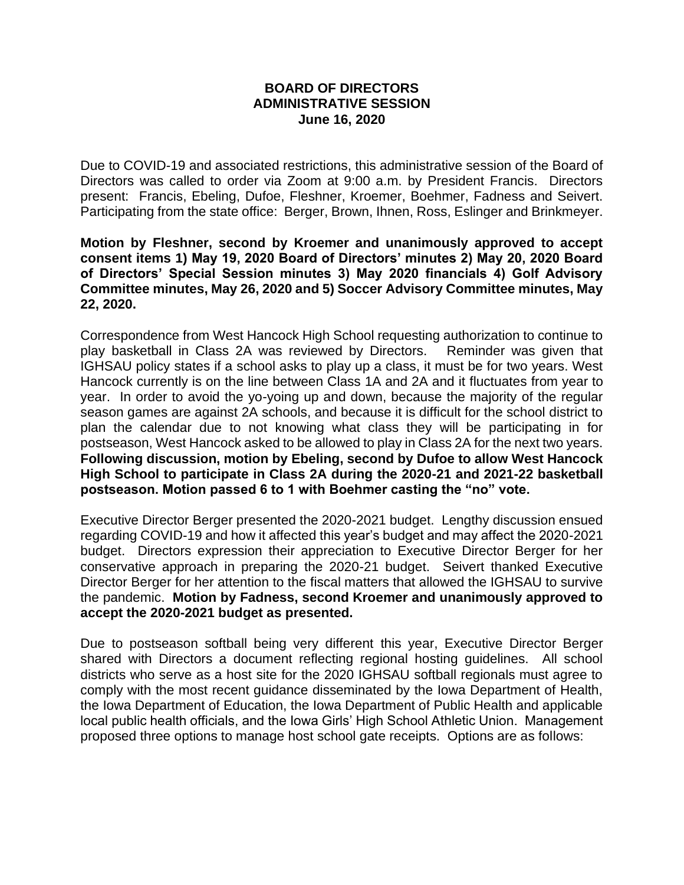## **BOARD OF DIRECTORS ADMINISTRATIVE SESSION June 16, 2020**

Due to COVID-19 and associated restrictions, this administrative session of the Board of Directors was called to order via Zoom at 9:00 a.m. by President Francis. Directors present: Francis, Ebeling, Dufoe, Fleshner, Kroemer, Boehmer, Fadness and Seivert. Participating from the state office: Berger, Brown, Ihnen, Ross, Eslinger and Brinkmeyer.

**Motion by Fleshner, second by Kroemer and unanimously approved to accept consent items 1) May 19, 2020 Board of Directors' minutes 2) May 20, 2020 Board of Directors' Special Session minutes 3) May 2020 financials 4) Golf Advisory Committee minutes, May 26, 2020 and 5) Soccer Advisory Committee minutes, May 22, 2020.**

Correspondence from West Hancock High School requesting authorization to continue to play basketball in Class 2A was reviewed by Directors. Reminder was given that IGHSAU policy states if a school asks to play up a class, it must be for two years. West Hancock currently is on the line between Class 1A and 2A and it fluctuates from year to year. In order to avoid the yo-yoing up and down, because the majority of the regular season games are against 2A schools, and because it is difficult for the school district to plan the calendar due to not knowing what class they will be participating in for postseason, West Hancock asked to be allowed to play in Class 2A for the next two years. **Following discussion, motion by Ebeling, second by Dufoe to allow West Hancock High School to participate in Class 2A during the 2020-21 and 2021-22 basketball postseason. Motion passed 6 to 1 with Boehmer casting the "no" vote.**

Executive Director Berger presented the 2020-2021 budget. Lengthy discussion ensued regarding COVID-19 and how it affected this year's budget and may affect the 2020-2021 budget. Directors expression their appreciation to Executive Director Berger for her conservative approach in preparing the 2020-21 budget. Seivert thanked Executive Director Berger for her attention to the fiscal matters that allowed the IGHSAU to survive the pandemic. **Motion by Fadness, second Kroemer and unanimously approved to accept the 2020-2021 budget as presented.**

Due to postseason softball being very different this year, Executive Director Berger shared with Directors a document reflecting regional hosting guidelines. All school districts who serve as a host site for the 2020 IGHSAU softball regionals must agree to comply with the most recent guidance disseminated by the Iowa Department of Health, the Iowa Department of Education, the Iowa Department of Public Health and applicable local public health officials, and the Iowa Girls' High School Athletic Union. Management proposed three options to manage host school gate receipts. Options are as follows: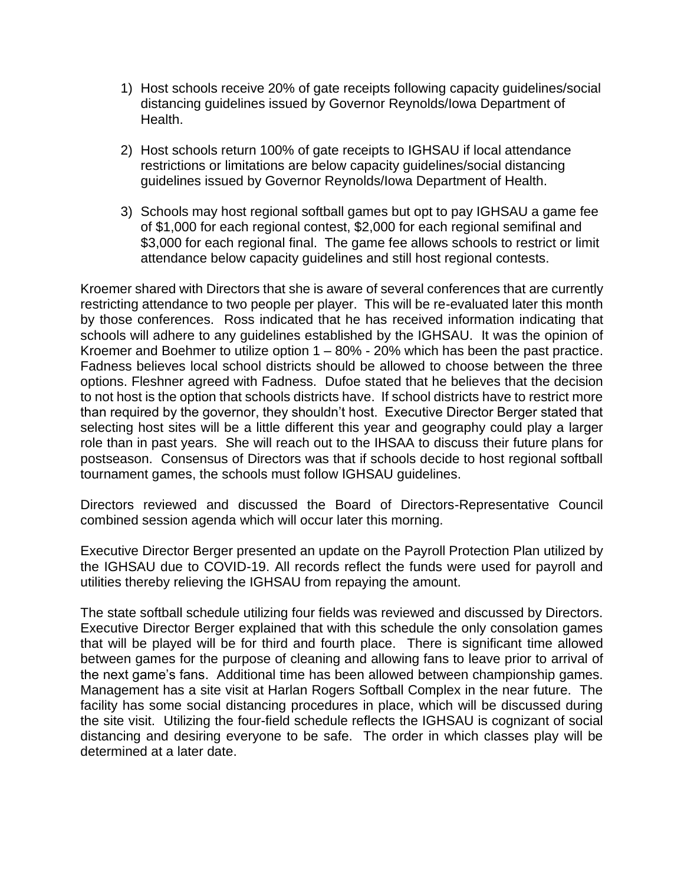- 1) Host schools receive 20% of gate receipts following capacity guidelines/social distancing guidelines issued by Governor Reynolds/Iowa Department of Health.
- 2) Host schools return 100% of gate receipts to IGHSAU if local attendance restrictions or limitations are below capacity guidelines/social distancing guidelines issued by Governor Reynolds/Iowa Department of Health.
- 3) Schools may host regional softball games but opt to pay IGHSAU a game fee of \$1,000 for each regional contest, \$2,000 for each regional semifinal and \$3,000 for each regional final. The game fee allows schools to restrict or limit attendance below capacity guidelines and still host regional contests.

Kroemer shared with Directors that she is aware of several conferences that are currently restricting attendance to two people per player. This will be re-evaluated later this month by those conferences. Ross indicated that he has received information indicating that schools will adhere to any guidelines established by the IGHSAU. It was the opinion of Kroemer and Boehmer to utilize option  $1 - 80\%$  - 20% which has been the past practice. Fadness believes local school districts should be allowed to choose between the three options. Fleshner agreed with Fadness. Dufoe stated that he believes that the decision to not host is the option that schools districts have. If school districts have to restrict more than required by the governor, they shouldn't host. Executive Director Berger stated that selecting host sites will be a little different this year and geography could play a larger role than in past years. She will reach out to the IHSAA to discuss their future plans for postseason. Consensus of Directors was that if schools decide to host regional softball tournament games, the schools must follow IGHSAU guidelines.

Directors reviewed and discussed the Board of Directors-Representative Council combined session agenda which will occur later this morning.

Executive Director Berger presented an update on the Payroll Protection Plan utilized by the IGHSAU due to COVID-19. All records reflect the funds were used for payroll and utilities thereby relieving the IGHSAU from repaying the amount.

The state softball schedule utilizing four fields was reviewed and discussed by Directors. Executive Director Berger explained that with this schedule the only consolation games that will be played will be for third and fourth place. There is significant time allowed between games for the purpose of cleaning and allowing fans to leave prior to arrival of the next game's fans. Additional time has been allowed between championship games. Management has a site visit at Harlan Rogers Softball Complex in the near future. The facility has some social distancing procedures in place, which will be discussed during the site visit. Utilizing the four-field schedule reflects the IGHSAU is cognizant of social distancing and desiring everyone to be safe. The order in which classes play will be determined at a later date.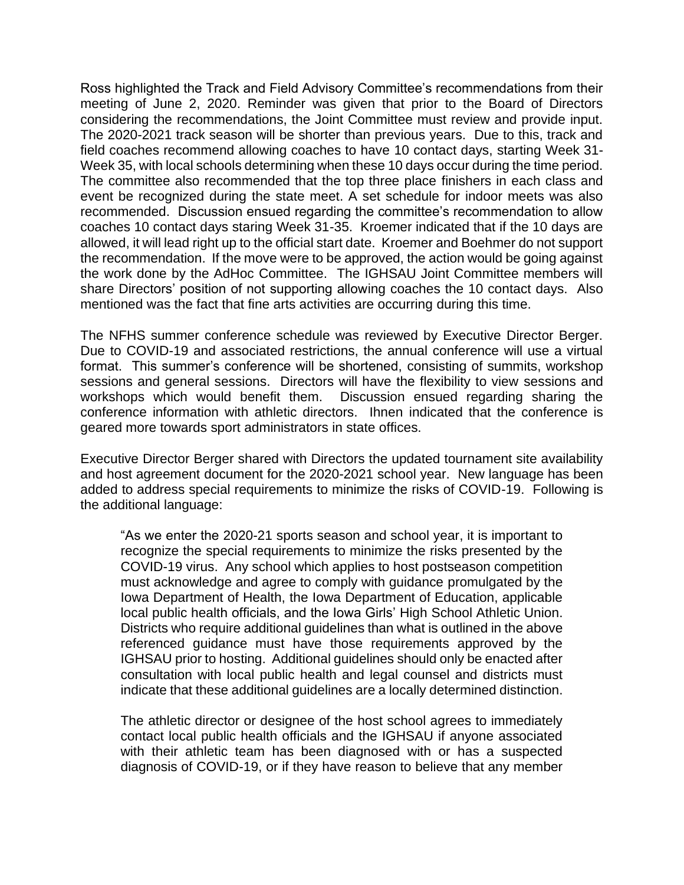Ross highlighted the Track and Field Advisory Committee's recommendations from their meeting of June 2, 2020. Reminder was given that prior to the Board of Directors considering the recommendations, the Joint Committee must review and provide input. The 2020-2021 track season will be shorter than previous years. Due to this, track and field coaches recommend allowing coaches to have 10 contact days, starting Week 31- Week 35, with local schools determining when these 10 days occur during the time period. The committee also recommended that the top three place finishers in each class and event be recognized during the state meet. A set schedule for indoor meets was also recommended. Discussion ensued regarding the committee's recommendation to allow coaches 10 contact days staring Week 31-35. Kroemer indicated that if the 10 days are allowed, it will lead right up to the official start date. Kroemer and Boehmer do not support the recommendation. If the move were to be approved, the action would be going against the work done by the AdHoc Committee. The IGHSAU Joint Committee members will share Directors' position of not supporting allowing coaches the 10 contact days. Also mentioned was the fact that fine arts activities are occurring during this time.

The NFHS summer conference schedule was reviewed by Executive Director Berger. Due to COVID-19 and associated restrictions, the annual conference will use a virtual format. This summer's conference will be shortened, consisting of summits, workshop sessions and general sessions. Directors will have the flexibility to view sessions and workshops which would benefit them. Discussion ensued regarding sharing the conference information with athletic directors. Ihnen indicated that the conference is geared more towards sport administrators in state offices.

Executive Director Berger shared with Directors the updated tournament site availability and host agreement document for the 2020-2021 school year. New language has been added to address special requirements to minimize the risks of COVID-19. Following is the additional language:

"As we enter the 2020-21 sports season and school year, it is important to recognize the special requirements to minimize the risks presented by the COVID-19 virus. Any school which applies to host postseason competition must acknowledge and agree to comply with guidance promulgated by the Iowa Department of Health, the Iowa Department of Education, applicable local public health officials, and the Iowa Girls' High School Athletic Union. Districts who require additional guidelines than what is outlined in the above referenced guidance must have those requirements approved by the IGHSAU prior to hosting. Additional guidelines should only be enacted after consultation with local public health and legal counsel and districts must indicate that these additional guidelines are a locally determined distinction.

The athletic director or designee of the host school agrees to immediately contact local public health officials and the IGHSAU if anyone associated with their athletic team has been diagnosed with or has a suspected diagnosis of COVID-19, or if they have reason to believe that any member